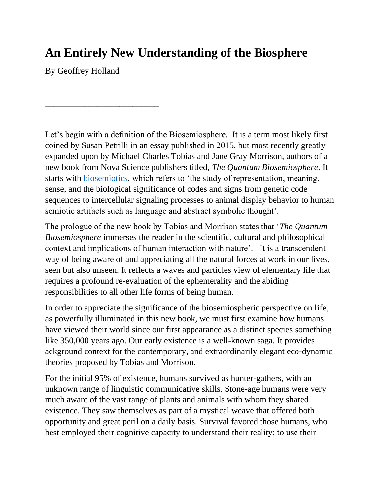# **An Entirely New Understanding of the Biosphere**

By Geoffrey Holland

\_\_\_\_\_\_\_\_\_\_\_\_\_\_\_\_\_\_\_\_\_\_\_\_\_\_

Let's begin with a definition of the Biosemiosphere. It is a term most likely first coined by Susan Petrilli in an essay published in 2015, but most recently greatly expanded upon by Michael Charles Tobias and Jane Gray Morrison, authors of a new book from Nova Science publishers titled, *The Quantum Biosemiosphere*. It starts with [biosemiotics,](http://www.biosemiotics.org/) which refers to 'the study of representation, meaning, sense, and the biological significance of codes and signs from genetic code sequences to intercellular signaling processes to animal display behavior to human semiotic artifacts such as language and abstract symbolic thought'.

The prologue of the new book by Tobias and Morrison states that '*The Quantum Biosemiosphere* immerses the reader in the scientific, cultural and philosophical context and implications of human interaction with nature'. It is a transcendent way of being aware of and appreciating all the natural forces at work in our lives, seen but also unseen. It reflects a waves and particles view of elementary life that requires a profound re-evaluation of the ephemerality and the abiding responsibilities to all other life forms of being human.

In order to appreciate the significance of the biosemiospheric perspective on life, as powerfully illuminated in this new book, we must first examine how humans have viewed their world since our first appearance as a distinct species something like 350,000 years ago. Our early existence is a well-known saga. It provides ackground context for the contemporary, and extraordinarily elegant eco-dynamic theories proposed by Tobias and Morrison.

For the initial 95% of existence, humans survived as hunter-gathers, with an unknown range of linguistic communicative skills. Stone-age humans were very much aware of the vast range of plants and animals with whom they shared existence. They saw themselves as part of a mystical weave that offered both opportunity and great peril on a daily basis. Survival favored those humans, who best employed their cognitive capacity to understand their reality; to use their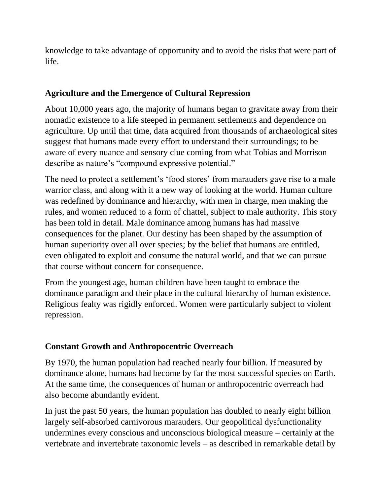knowledge to take advantage of opportunity and to avoid the risks that were part of life.

#### **Agriculture and the Emergence of Cultural Repression**

About 10,000 years ago, the majority of humans began to gravitate away from their nomadic existence to a life steeped in permanent settlements and dependence on agriculture. Up until that time, data acquired from thousands of archaeological sites suggest that humans made every effort to understand their surroundings; to be aware of every nuance and sensory clue coming from what Tobias and Morrison describe as nature's "compound expressive potential."

The need to protect a settlement's 'food stores' from marauders gave rise to a male warrior class, and along with it a new way of looking at the world. Human culture was redefined by dominance and hierarchy, with men in charge, men making the rules, and women reduced to a form of chattel, subject to male authority. This story has been told in detail. Male dominance among humans has had massive consequences for the planet. Our destiny has been shaped by the assumption of human superiority over all over species; by the belief that humans are entitled, even obligated to exploit and consume the natural world, and that we can pursue that course without concern for consequence.

From the youngest age, human children have been taught to embrace the dominance paradigm and their place in the cultural hierarchy of human existence. Religious fealty was rigidly enforced. Women were particularly subject to violent repression.

## **Constant Growth and Anthropocentric Overreach**

By 1970, the human population had reached nearly four billion. If measured by dominance alone, humans had become by far the most successful species on Earth. At the same time, the consequences of human or anthropocentric overreach had also become abundantly evident.

In just the past 50 years, the human population has doubled to nearly eight billion largely self-absorbed carnivorous marauders. Our geopolitical dysfunctionality undermines every conscious and unconscious biological measure – certainly at the vertebrate and invertebrate taxonomic levels – as described in remarkable detail by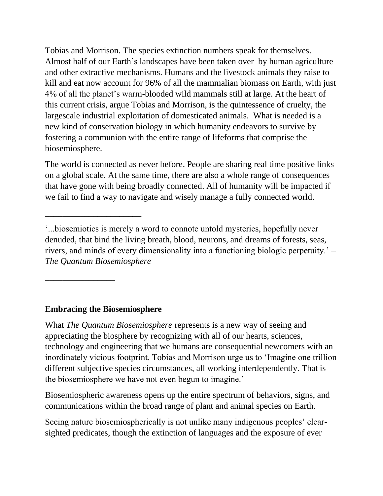Tobias and Morrison. The species extinction numbers speak for themselves. Almost half of our Earth's landscapes have been taken over by human agriculture and other extractive mechanisms. Humans and the livestock animals they raise to kill and eat now account for 96% of all the mammalian biomass on Earth, with just 4% of all the planet's warm-blooded wild mammals still at large. At the heart of this current crisis, argue Tobias and Morrison, is the quintessence of cruelty, the largescale industrial exploitation of domesticated animals. What is needed is a new kind of conservation biology in which humanity endeavors to survive by fostering a communion with the entire range of lifeforms that comprise the biosemiosphere.

The world is connected as never before. People are sharing real time positive links on a global scale. At the same time, there are also a whole range of consequences that have gone with being broadly connected. All of humanity will be impacted if we fail to find a way to navigate and wisely manage a fully connected world.

#### **Embracing the Biosemiosphere**

\_\_\_\_\_\_\_\_\_\_\_\_\_\_\_\_\_\_\_\_\_\_

\_\_\_\_\_\_\_\_\_\_\_\_\_\_\_\_

What *The Quantum Biosemiosphere* represents is a new way of seeing and appreciating the biosphere by recognizing with all of our hearts, sciences, technology and engineering that we humans are consequential newcomers with an inordinately vicious footprint. Tobias and Morrison urge us to 'Imagine one trillion different subjective species circumstances, all working interdependently. That is the biosemiosphere we have not even begun to imagine.'

Biosemiospheric awareness opens up the entire spectrum of behaviors, signs, and communications within the broad range of plant and animal species on Earth.

Seeing nature biosemiospherically is not unlike many indigenous peoples' clearsighted predicates, though the extinction of languages and the exposure of ever

<sup>&#</sup>x27;...biosemiotics is merely a word to connote untold mysteries, hopefully never denuded, that bind the living breath, blood, neurons, and dreams of forests, seas, rivers, and minds of every dimensionality into a functioning biologic perpetuity.' – *The Quantum Biosemiosphere*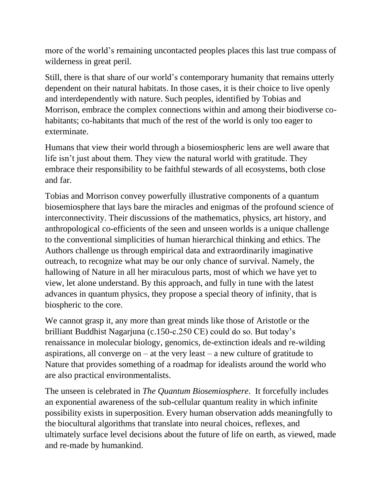more of the world's remaining uncontacted peoples places this last true compass of wilderness in great peril.

Still, there is that share of our world's contemporary humanity that remains utterly dependent on their natural habitats. In those cases, it is their choice to live openly and interdependently with nature. Such peoples, identified by Tobias and Morrison, embrace the complex connections within and among their biodiverse cohabitants; co-habitants that much of the rest of the world is only too eager to exterminate.

Humans that view their world through a biosemiospheric lens are well aware that life isn't just about them. They view the natural world with gratitude. They embrace their responsibility to be faithful stewards of all ecosystems, both close and far.

Tobias and Morrison convey powerfully illustrative components of a quantum biosemiosphere that lays bare the miracles and enigmas of the profound science of interconnectivity. Their discussions of the mathematics, physics, art history, and anthropological co-efficients of the seen and unseen worlds is a unique challenge to the conventional simplicities of human hierarchical thinking and ethics. The Authors challenge us through empirical data and extraordinarily imaginative outreach, to recognize what may be our only chance of survival. Namely, the hallowing of Nature in all her miraculous parts, most of which we have yet to view, let alone understand. By this approach, and fully in tune with the latest advances in quantum physics, they propose a special theory of infinity, that is biospheric to the core.

We cannot grasp it, any more than great minds like those of Aristotle or the brilliant Buddhist Nagarjuna (c.150-c.250 CE) could do so. But today's renaissance in molecular biology, genomics, de-extinction ideals and re-wilding aspirations, all converge on  $-$  at the very least  $-$  a new culture of gratitude to Nature that provides something of a roadmap for idealists around the world who are also practical environmentalists.

The unseen is celebrated in *The Quantum Biosemiosphere*. It forcefully includes an exponential awareness of the sub-cellular quantum reality in which infinite possibility exists in superposition. Every human observation adds meaningfully to the biocultural algorithms that translate into neural choices, reflexes, and ultimately surface level decisions about the future of life on earth, as viewed, made and re-made by humankind.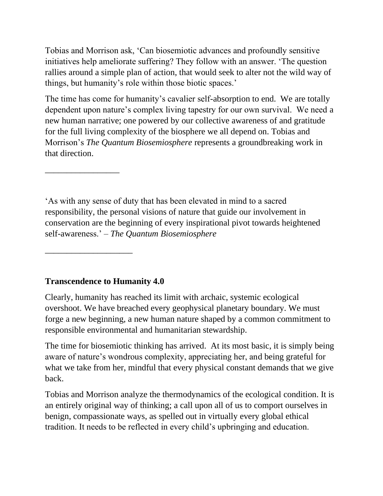Tobias and Morrison ask, 'Can biosemiotic advances and profoundly sensitive initiatives help ameliorate suffering? They follow with an answer. 'The question rallies around a simple plan of action, that would seek to alter not the wild way of things, but humanity's role within those biotic spaces.'

The time has come for humanity's cavalier self-absorption to end. We are totally dependent upon nature's complex living tapestry for our own survival. We need a new human narrative; one powered by our collective awareness of and gratitude for the full living complexity of the biosphere we all depend on. Tobias and Morrison's *The Quantum Biosemiosphere* represents a groundbreaking work in that direction.

'As with any sense of duty that has been elevated in mind to a sacred responsibility, the personal visions of nature that guide our involvement in conservation are the beginning of every inspirational pivot towards heightened self-awareness.' – *The Quantum Biosemiosphere*

## **Transcendence to Humanity 4.0**

\_\_\_\_\_\_\_\_\_\_\_\_\_\_\_\_\_\_\_\_

\_\_\_\_\_\_\_\_\_\_\_\_\_\_\_\_\_

Clearly, humanity has reached its limit with archaic, systemic ecological overshoot. We have breached every geophysical planetary boundary. We must forge a new beginning, a new human nature shaped by a common commitment to responsible environmental and humanitarian stewardship.

The time for biosemiotic thinking has arrived. At its most basic, it is simply being aware of nature's wondrous complexity, appreciating her, and being grateful for what we take from her, mindful that every physical constant demands that we give back.

Tobias and Morrison analyze the thermodynamics of the ecological condition. It is an entirely original way of thinking; a call upon all of us to comport ourselves in benign, compassionate ways, as spelled out in virtually every global ethical tradition. It needs to be reflected in every child's upbringing and education.